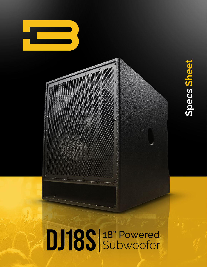

Specs Sheet **Specs Sheet**

# DJ18S 3 Powered

Ġ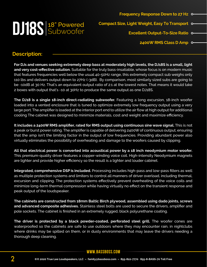

**2400W RMS Class D Amp**

#### **Description:**

**For DJs and venues seeking extremely deep bass at moderately high levels, the DJ18S is a small, light and very cost-effective solution.** Suitable for the truly bass-insatiable, whose focus is on modern music that features frequencies well below the usual 40-50Hz range, this extremely compact sub weighs only 110 lbs and delivers output down to 27Hz (-3dB). By comparison, most similarly sized subs are going to be -10dB at 30 Hz. That's an equivalent output ratio of 2:1 at the lowest notes. That means it would take 2 boxes with output that's -10 at 30Hz to produce the same output as one DJ18S.

**The DJ18 is a single 18-inch direct-radiating subwoofer.** Featuring a long excursion, 18-inch woofer loaded into a vented enclosure that is tuned to optimize extremely low frequency output using a very large port. The amplifier is loaded at the interior port end to utilize the air flow at high output for additional cooling The cabinet was designed to minimize materials, cost and weight and maximize efficiency.

**It includes a 2400W RMS amplifier, rated for RMS output using continuous sine wave signal.** This is not a peak or burst power rating. The amplifier is capable of delivering 2400W of continuous output, ensuring that the amp isn't the limiting factor in the output of low frequencies. Providing abundant power also virtually eliminates the possibility of overheating and damage to the woofers caused by clipping.

**All that electrical power is converted into acoustical power by a 18 inch neodymium motor woofer.** This premium-quality driver features a copper-winding voice coil. High-intensity Neodymium magnets are lighter and provide higher efficiency so the result is a lighter and louder cabinet.

**Integrated, comprehensive DSP is included.** Processing includes high-pass and low-pass filters as well as multiple protection systems and limiters to control all manners of driver overload, including thermal, excursion and clipping. The protection systems effectively prevent overheating of the voice coils and minimize long-term thermal compression while having virtually no effect on the transient response and peak output of the loudspeaker.

**The cabinets are constructed from 18mm Baltic Birch plywood, assembled using dado joints, screws and advanced composite adhesives.** Stainless steel bolts are used to secure the drivers, amplifier and pole sockets. The cabinet is finished in an extremely rugged, black polyurethane coating.

**The driver is protected by a black powder-coated, perforated steel grill.** The woofer cones are waterproofed so the cabinets are safe to use outdoors where they may encounter rain, in nightclubs where drinks may be spilled on them, or in dusty environments that may leave the drivers needing a thorough deep cleaning.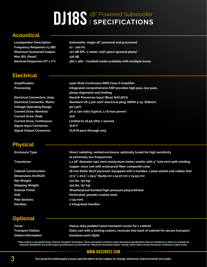# **DJ18S** <sup>18" Powered Subwoofer</sup>

#### **Acoustical**

**Loudspeaker Description Subwoofer, single 18" powered and processed Frequency Response (±3 dB): 27 - 100 Hz Maximum Sustained Output: 127 dB SPL, 1 meter, half-space (ground plane) Max SPL (Peak)\* 136 dB Nominal Dispersion (Hº x Vº): 360 x 360 - Cardioid mode available with multiple boxes**

#### **Electrical**

**Amplification: 2400 Watt Continuous RMS Class D Amplifier Processing: Integrated comprehensive DSP provides high pass, low pass, phase alignment and limiting Electrical Connectors, Amp: Neutrik Powercon input (Blue) NAC3FCA Electrical Connector, Mains: Standard US 3-pin 120V electrical plug: NEMA 5-15. (Edison) Voltage Operating Range:** 90-130V **Current Draw, Nominal: 3A @ 120 volts (typical, 1/8 max power) Current Draw, Peak: 20A**

**Current Draw, Continuous: Limited to 16.5A after 1 second Signal Input Connector: XLR-F Signal Output Connector: XLR-M pass-through only**

### **Physical**

**Enclosure Type: Direct radiating, vented enclosure, optimally tuned for high sensitivity at extremely low frequencies Transducer: 1 x 18" diameter (457 mm) neodymium motor woofer with 4" (100 mm) split winding copper voice coil with waterproof fiber composite cone Cabinet Construction: 18 mm Baltic Birch plywood. Equipped with 2 handles, 1 pole socket and rubber feet Dimensions (HxWxD): 27.5" x 20.5" x 29.5" (69.85 cm x 52.07 cm x 74.93 cm) Net Weight: 110 lbs. (50 kg) Shipping Weight: 125 lbs. (57 kg) Exterior Finish: Weatherproof bonded high-pressure polyurethane Grill: Perforated, powder-coated steel Pole Sockets: 1 (35 mm) Handles: 2 Integrated Handles**

## **Optional**

| Cover:                     | Heavy-duty padded nylon transport covers for 1 cabinet                                |
|----------------------------|---------------------------------------------------------------------------------------|
| <b>Transport Dollies:</b>  | Dolly cart with 4 locking casters, recesses into back of cabinet for secure transport |
| <b>Online Information:</b> | bassboss.com/dj18s                                                                    |

"Peak output is calculated using "industry standard" techniques. These calculation methods create theoretical specifications that are inflated over what can actually be<br>achieved. BASSBOSS real world output specifications a

#### **www.bassboss.com**